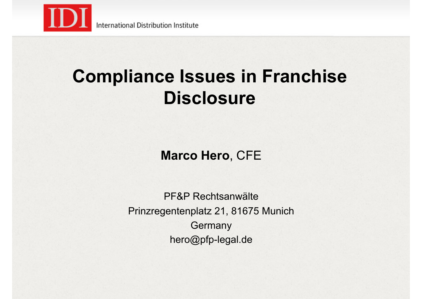

International Distribution Institute

#### **Compliance Issues in Franchise Disclosure**

**Marco Hero**, CFE

PF&P Rechtsanwälte Prinzregentenplatz 21, 81675 Munich **Germany** hero@pfp-legal.de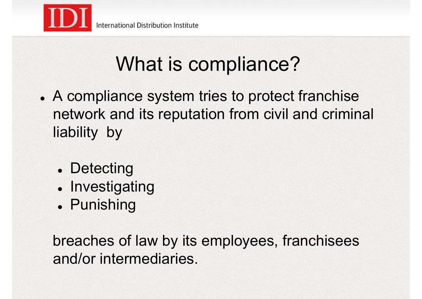

# What is compliance?

- . A compliance system tries to protect franchise network and its reputation from civil and criminal liability by
	- Detecting
	- Investigating
	- . Punishing

breaches of law by its employees, franchisees and/or intermediaries.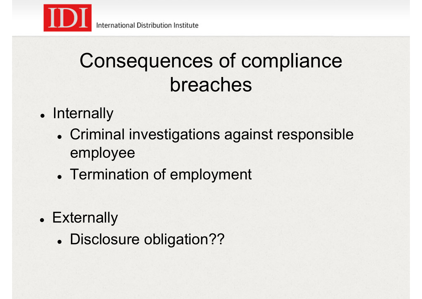## Consequences of compliance breaches

- Internally
	- . Criminal investigations against responsible employee
	- Termination of employment
- Externally
	- . Disclosure obligation??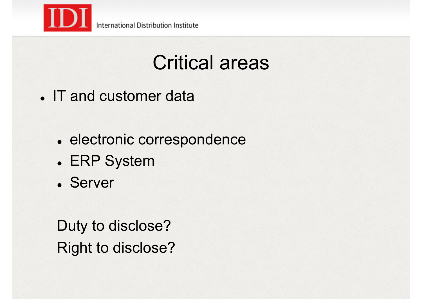

- IT and customer data
	- . electronic correspondence
	- ! ERP System
	- ! Server

Duty to disclose? Right to disclose?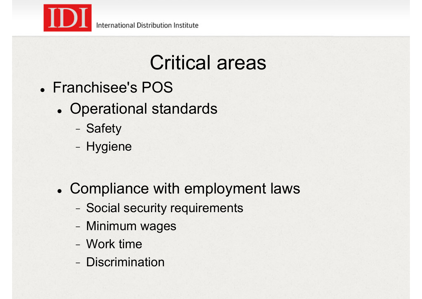

- ! Franchisee's POS
	- ! Operational standards
		- Safety
		- Hygiene
	- ! Compliance with employment laws
		- Social security requirements
		- Minimum wages
		- Work time
		- Discrimination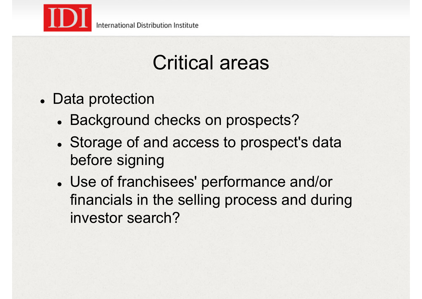

- . Data protection
	- . Background checks on prospects?
	- . Storage of and access to prospect's data before signing
	- ! Use of franchisees' performance and/or financials in the selling process and during investor search?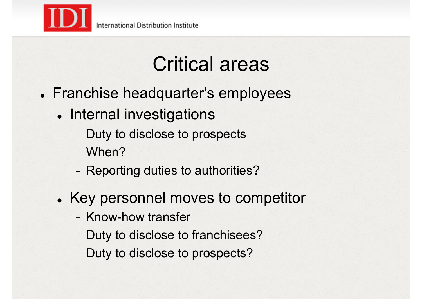

- ! Franchise headquarter's employees
	- Internal investigations
		- Duty to disclose to prospects
		- When?
		- Reporting duties to authorities?
	- . Key personnel moves to competitor
		- Know-how transfer
		- Duty to disclose to franchisees?
		- Duty to disclose to prospects?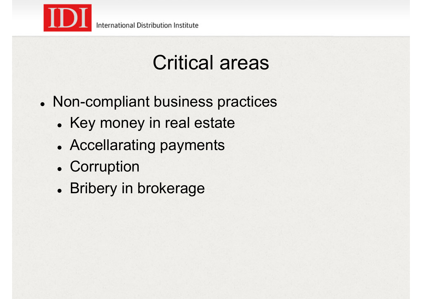

- . Non-compliant business practices
	- . Key money in real estate
	- . Accellarating payments
	- Corruption
	- **.** Bribery in brokerage